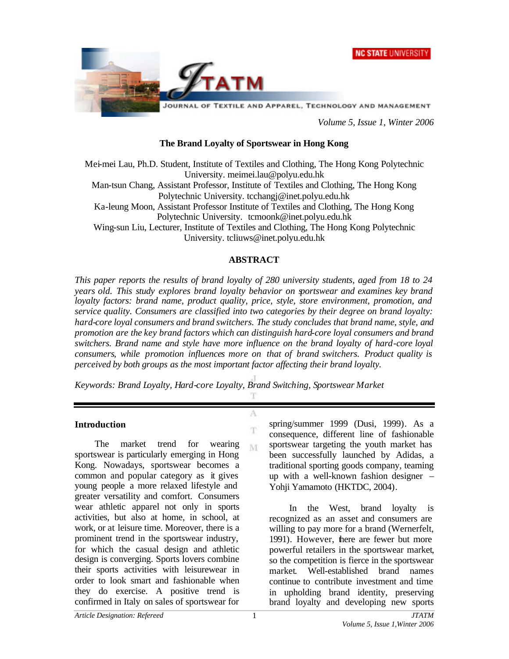



*Volume 5, Issue 1, Winter 2006*

#### **The Brand Loyalty of Sportswear in Hong Kong**

Mei-mei Lau, Ph.D. Student, Institute of Textiles and Clothing, The Hong Kong Polytechnic University. meimei.lau@polyu.edu.hk

Man-tsun Chang, Assistant Professor, Institute of Textiles and Clothing, The Hong Kong Polytechnic University. tcchangj@inet.polyu.edu.hk

Ka-leung Moon, Assistant Professor Institute of Textiles and Clothing, The Hong Kong Polytechnic University. tcmoonk@inet.polyu.edu.hk

Wing-sun Liu, Lecturer, Institute of Textiles and Clothing, The Hong Kong Polytechnic University. tcliuws@inet.polyu.edu.hk

#### **ABSTRACT**

*This paper reports the results of brand loyalty of 280 university students, aged from 18 to 24 years old. This study explores brand loyalty behavior on sportswear and examines key brand loyalty factors: brand name, product quality, price, style, store environment, promotion, and service quality. Consumers are classified into two categories by their degree on brand loyalty: hard-core loyal consumers and brand switchers. The study concludes that brand name, style, and promotion are the key brand factors which can distinguish hard-core loyal consumers and brand switchers. Brand name and style have more influence on the brand loyalty of hard-core loyal consumers, while promotion influences more on that of brand switchers. Product quality is perceived by both groups as the most important factor affecting their brand loyalty.*

T

A T. M

*Keywords: Brand Loyalty, Hard-core Loyalty, Brand Switching, Sportswear Market*

#### **Introduction**

The market trend for wearing sportswear is particularly emerging in Hong Kong. Nowadays, sportswear becomes a common and popular category as it gives young people a more relaxed lifestyle and greater versatility and comfort. Consumers wear athletic apparel not only in sports activities, but also at home, in school, at work, or at leisure time. Moreover, there is a prominent trend in the sportswear industry, for which the casual design and athletic design is converging. Sports lovers combine their sports activities with leisurewear in order to look smart and fashionable when they do exercise. A positive trend is confirmed in Italy on sales of sportswear for

spring/summer 1999 (Dusi, 1999). As a consequence, different line of fashionable sportswear targeting the youth market has been successfully launched by Adidas, a traditional sporting goods company, teaming up with a well-known fashion designer – Yohji Yamamoto (HKTDC, 2004).

In the West, brand loyalty is recognized as an asset and consumers are willing to pay more for a brand (Wernerfelt, 1991). However, there are fewer but more powerful retailers in the sportswear market, so the competition is fierce in the sportswear market. Well-established brand names continue to contribute investment and time in upholding brand identity, preserving brand loyalty and developing new sports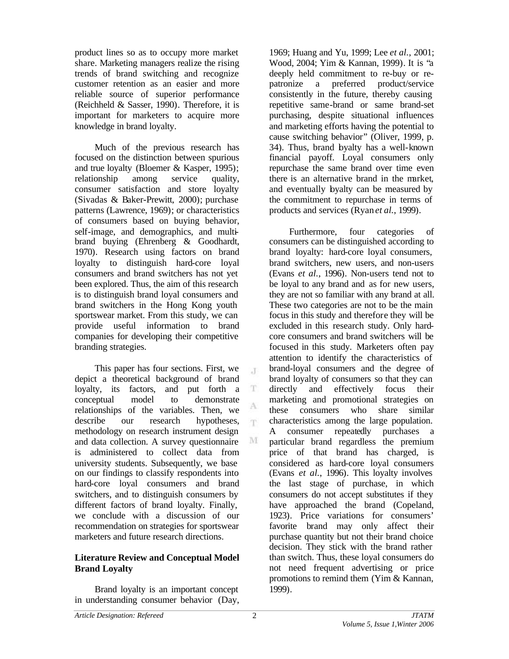product lines so as to occupy more market share. Marketing managers realize the rising trends of brand switching and recognize customer retention as an easier and more reliable source of superior performance (Reichheld & Sasser, 1990). Therefore, it is important for marketers to acquire more knowledge in brand loyalty.

Much of the previous research has focused on the distinction between spurious and true loyalty (Bloemer & Kasper, 1995); relationship among service quality, consumer satisfaction and store loyalty (Sivadas & Baker-Prewitt, 2000); purchase patterns (Lawrence, 1969); or characteristics of consumers based on buying behavior, self-image, and demographics, and multibrand buying (Ehrenberg & Goodhardt, 1970). Research using factors on brand loyalty to distinguish hard-core loyal consumers and brand switchers has not yet been explored. Thus, the aim of this research is to distinguish brand loyal consumers and brand switchers in the Hong Kong youth sportswear market. From this study, we can provide useful information to brand companies for developing their competitive branding strategies.

This paper has four sections. First, we depict a theoretical background of brand loyalty, its factors, and put forth a conceptual model to demonstrate relationships of the variables. Then, we describe our research hypotheses, methodology on research instrument design and data collection. A survey questionnaire is administered to collect data from university students. Subsequently, we base on our findings to classify respondents into hard-core loyal consumers and brand switchers, and to distinguish consumers by different factors of brand loyalty. Finally, we conclude with a discussion of our recommendation on strategies for sportswear marketers and future research directions.

## **Literature Review and Conceptual Model Brand Loyalty**

Brand loyalty is an important concept in understanding consumer behavior (Day, 1969; Huang and Yu, 1999; Lee *et al.*, 2001; Wood, 2004; Yim & Kannan, 1999). It is "a deeply held commitment to re-buy or repatronize a preferred product/service consistently in the future, thereby causing repetitive same-brand or same brand-set purchasing, despite situational influences and marketing efforts having the potential to cause switching behavior" (Oliver, 1999, p. 34). Thus, brand byalty has a well-known financial payoff. Loyal consumers only repurchase the same brand over time even there is an alternative brand in the market, and eventually byalty can be measured by the commitment to repurchase in terms of products and services (Ryan *et al.*, 1999).

Furthermore, four categories of consumers can be distinguished according to brand loyalty: hard-core loyal consumers, brand switchers, new users, and non-users (Evans *et al.*, 1996). Non-users tend not to be loyal to any brand and as for new users, they are not so familiar with any brand at all. These two categories are not to be the main focus in this study and therefore they will be excluded in this research study. Only hardcore consumers and brand switchers will be focused in this study. Marketers often pay attention to identify the characteristics of brand-loyal consumers and the degree of brand loyalty of consumers so that they can directly and effectively focus their marketing and promotional strategies on these consumers who share similar characteristics among the large population. A consumer repeatedly purchases a particular brand regardless the premium price of that brand has charged, is considered as hard-core loyal consumers (Evans *et al.*, 1996). This loyalty involves the last stage of purchase, in which consumers do not accept substitutes if they have approached the brand (Copeland, 1923). Price variations for consumers' favorite brand may only affect their purchase quantity but not their brand choice decision. They stick with the brand rather than switch. Thus, these loyal consumers do not need frequent advertising or price promotions to remind them (Yim & Kannan, 1999).

 $\mathcal{X}$ 

 $\mathbf T$ 

A m.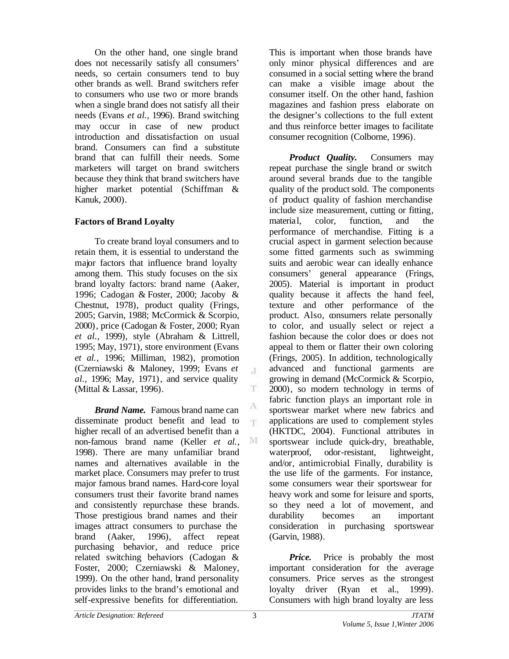On the other hand, one single brand does not necessarily satisfy all consumers' needs, so certain consumers tend to buy other brands as well. Brand switchers refer to consumers who use two or more brands when a single brand does not satisfy all their needs (Evans *et al.*, 1996). Brand switching may occur in case of new product introduction and dissatisfaction on usual brand. Consumers can find a substitute brand that can fulfill their needs. Some marketers will target on brand switchers because they think that brand switchers have higher market potential (Schiffman & Kanuk, 2000).

## **Factors of Brand Loyalty**

To create brand loyal consumers and to retain them, it is essential to understand the major factors that influence brand loyalty among them. This study focuses on the six brand loyalty factors: brand name (Aaker, 1996; Cadogan & Foster, 2000; Jacoby & Chestnut, 1978), product quality (Frings, 2005; Garvin, 1988; McCormick & Scorpio, 2000), price (Cadogan & Foster, 2000; Ryan *et al.*, 1999), style (Abraham & Littrell, 1995; May, 1971), store environment (Evans *et al.*, 1996; Milliman, 1982), promotion (Czerniawski & Maloney, 1999; Evans *et al.*, 1996; May, 1971), and service quality (Mittal & Lassar, 1996).

*Brand Name.* Famous brand name can disseminate product benefit and lead to higher recall of an advertised benefit than a non-famous brand name (Keller *et al.*, 1998). There are many unfamiliar brand names and alternatives available in the market place. Consumers may prefer to trust major famous brand names. Hard-core loyal consumers trust their favorite brand names and consistently repurchase these brands. Those prestigious brand names and their images attract consumers to purchase the brand (Aaker, 1996), affect repeat purchasing behavior, and reduce price related switching behaviors (Cadogan & Foster, 2000; Czerniawski & Maloney, 1999). On the other hand, brand personality provides links to the brand's emotional and self-expressive benefits for differentiation.

This is important when those brands have only minor physical differences and are consumed in a social setting where the brand can make a visible image about the consumer itself. On the other hand, fashion magazines and fashion press elaborate on the designer's collections to the full extent and thus reinforce better images to facilitate consumer recognition (Colborne, 1996).

*Product Quality.* Consumers may repeat purchase the single brand or switch around several brands due to the tangible quality of the product sold. The components of product quality of fashion merchandise include size measurement, cutting or fitting, material, color, function, and the performance of merchandise. Fitting is a crucial aspect in garment selection because some fitted garments such as swimming suits and aerobic wear can ideally enhance consumers' general appearance (Frings, 2005). Material is important in product quality because it affects the hand feel, texture and other performance of the product. Also, consumers relate personally to color, and usually select or reject a fashion because the color does or does not appeal to them or flatter their own coloring (Frings, 2005). In addition, technologically advanced and functional garments are growing in demand (McCormick & Scorpio, 2000), so modern technology in terms of fabric function plays an important role in sportswear market where new fabrics and applications are used to complement styles (HKTDC, 2004). Functional attributes in sportswear include quick-dry, breathable, waterproof, odor-resistant, lightweight, and/or, antimicrobial. Finally, durability is the use life of the garments. For instance, some consumers wear their sportswear for heavy work and some for leisure and sports, so they need a lot of movement, and durability becomes an important consideration in purchasing sportswear (Garvin, 1988).

*Price.* Price is probably the most important consideration for the average consumers. Price serves as the strongest loyalty driver (Ryan et al., 1999). Consumers with high brand loyalty are less

 $\mathcal{X}$ 

T

A T.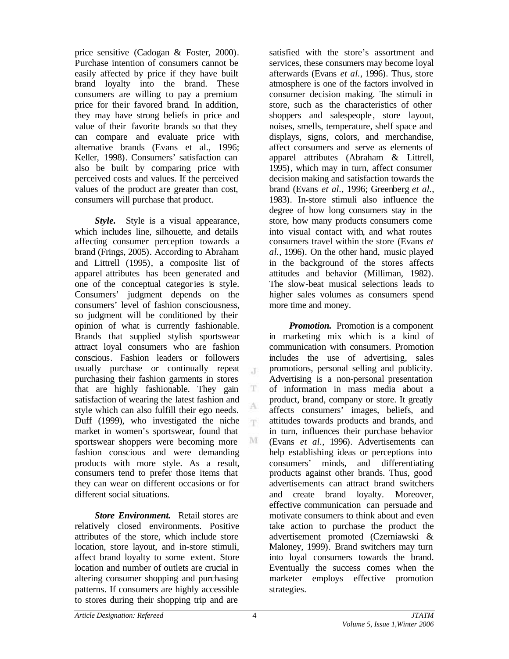price sensitive (Cadogan & Foster, 2000). Purchase intention of consumers cannot be easily affected by price if they have built brand loyalty into the brand. These consumers are willing to pay a premium price for their favored brand. In addition, they may have strong beliefs in price and value of their favorite brands so that they can compare and evaluate price with alternative brands (Evans et al., 1996; Keller, 1998). Consumers' satisfaction can also be built by comparing price with perceived costs and values. If the perceived values of the product are greater than cost, consumers will purchase that product.

*Style.* Style is a visual appearance, which includes line, silhouette, and details affecting consumer perception towards a brand (Frings, 2005). According to Abraham and Littrell (1995), a composite list of apparel attributes has been generated and one of the conceptual categories is style. Consumers' judgment depends on the consumers' level of fashion consciousness, so judgment will be conditioned by their opinion of what is currently fashionable. Brands that supplied stylish sportswear attract loyal consumers who are fashion conscious. Fashion leaders or followers usually purchase or continually repeat purchasing their fashion garments in stores that are highly fashionable. They gain satisfaction of wearing the latest fashion and style which can also fulfill their ego needs. Duff (1999), who investigated the niche market in women's sportswear, found that sportswear shoppers were becoming more fashion conscious and were demanding products with more style. As a result, consumers tend to prefer those items that they can wear on different occasions or for different social situations.

*Store Environment.* Retail stores are relatively closed environments. Positive attributes of the store, which include store location, store layout, and in-store stimuli, affect brand loyalty to some extent. Store location and number of outlets are crucial in altering consumer shopping and purchasing patterns. If consumers are highly accessible to stores during their shopping trip and are

satisfied with the store's assortment and services, these consumers may become loyal afterwards (Evans *et al.*, 1996). Thus, store atmosphere is one of the factors involved in consumer decision making. The stimuli in store, such as the characteristics of other shoppers and salespeople, store layout, noises, smells, temperature, shelf space and displays, signs, colors, and merchandise, affect consumers and serve as elements of apparel attributes (Abraham & Littrell, 1995), which may in turn, affect consumer decision making and satisfaction towards the brand (Evans *et al.*, 1996; Greenberg *et al.*, 1983). In-store stimuli also influence the degree of how long consumers stay in the store, how many products consumers come into visual contact with, and what routes consumers travel within the store (Evans *et al.*, 1996). On the other hand, music played in the background of the stores affects attitudes and behavior (Milliman, 1982). The slow-beat musical selections leads to higher sales volumes as consumers spend more time and money.

*Promotion.* Promotion is a component in marketing mix which is a kind of communication with consumers. Promotion includes the use of advertising, sales promotions, personal selling and publicity. Advertising is a non-personal presentation of information in mass media about a product, brand, company or store. It greatly affects consumers' images, beliefs, and attitudes towards products and brands, and in turn, influences their purchase behavior (Evans *et al.*, 1996). Advertisements can help establishing ideas or perceptions into consumers' minds, and differentiating products against other brands. Thus, good advertisements can attract brand switchers and create brand loyalty. Moreover, effective communication can persuade and motivate consumers to think about and even take action to purchase the product the advertisement promoted (Czerniawski & Maloney, 1999). Brand switchers may turn into loyal consumers towards the brand. Eventually the success comes when the marketer employs effective promotion strategies.

 $\mathcal{X}$ 

T

A 'n.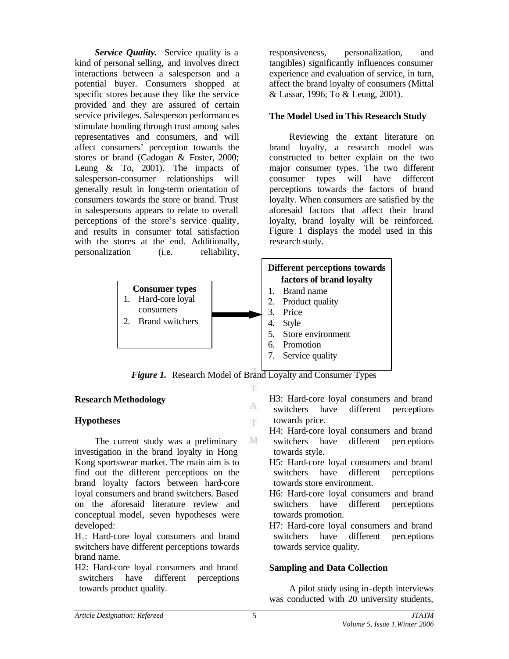**Service Quality.** Service quality is a kind of personal selling, and involves direct interactions between a salesperson and a potential buyer. Consumers shopped at specific stores because they like the service provided and they are assured of certain service privileges. Salesperson performances stimulate bonding through trust among sales representatives and consumers, and will affect consumers' perception towards the stores or brand (Cadogan & Foster, 2000; Leung & To, 2001). The impacts of salesperson-consumer relationships will generally result in long-term orientation of consumers towards the store or brand. Trust in salespersons appears to relate to overall perceptions of the store's service quality, and results in consumer total satisfaction with the stores at the end. Additionally, personalization (i.e. reliability,

responsiveness, personalization, and tangibles) significantly influences consumer experience and evaluation of service, in turn, affect the brand loyalty of consumers (Mittal & Lassar, 1996; To & Leung, 2001).

# **The Model Used in This Research Study**

Reviewing the extant literature on brand loyalty, a research model was constructed to better explain on the two major consumer types. The two different consumer types will have different perceptions towards the factors of brand loyalty. When consumers are satisfied by the aforesaid factors that affect their brand loyalty, brand loyalty will be reinforced. Figure 1 displays the model used in this research study.





A T.

M

# **Research Methodology**

## **Hypotheses**

The current study was a preliminary investigation in the brand loyalty in Hong Kong sportswear market. The main aim is to find out the different perceptions on the brand loyalty factors between hard-core loyal consumers and brand switchers. Based on the aforesaid literature review and conceptual model, seven hypotheses were developed:

H1: Hard-core loyal consumers and brand switchers have different perceptions towards brand name.

H2: Hard-core loyal consumers and brand switchers have different perceptions towards product quality.

H3: Hard-core loyal consumers and brand switchers have different perceptions towards price.

- H4: Hard-core loyal consumers and brand switchers have different perceptions towards style.
- H5: Hard-core loyal consumers and brand switchers have different perceptions towards store environment.
- H6: Hard-core loyal consumers and brand switchers have different perceptions towards promotion.
- H7: Hard-core loyal consumers and brand switchers have different perceptions towards service quality.

# **Sampling and Data Collection**

A pilot study using in-depth interviews was conducted with 20 university students,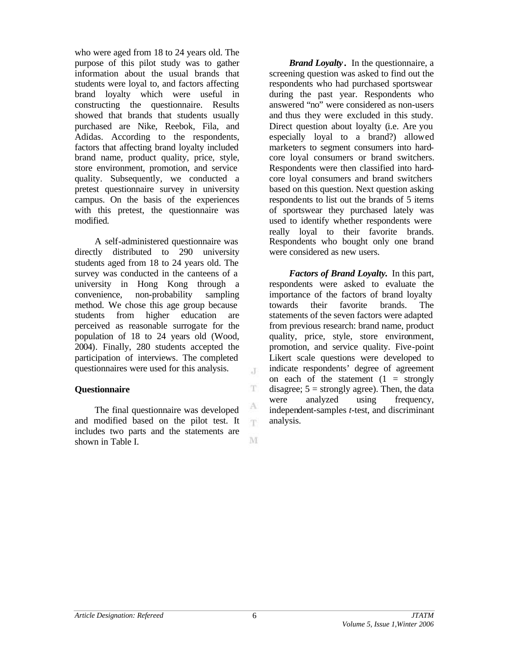who were aged from 18 to 24 years old. The purpose of this pilot study was to gather information about the usual brands that students were loyal to, and factors affecting brand loyalty which were useful in constructing the questionnaire. Results showed that brands that students usually purchased are Nike, Reebok, Fila, and Adidas. According to the respondents, factors that affecting brand loyalty included brand name, product quality, price, style, store environment, promotion, and service quality. Subsequently, we conducted a pretest questionnaire survey in university campus. On the basis of the experiences with this pretest, the questionnaire was modified.

A self-administered questionnaire was directly distributed to 290 university students aged from 18 to 24 years old. The survey was conducted in the canteens of a university in Hong Kong through a convenience, non-probability sampling method. We chose this age group because students from higher education are perceived as reasonable surrogate for the population of 18 to 24 years old (Wood, 2004). Finally, 280 students accepted the participation of interviews. The completed questionnaires were used for this analysis.

## **Questionnaire**

The final questionnaire was developed and modified based on the pilot test. It includes two parts and the statements are shown in Table I.

*Brand Loyalty* **.** In the questionnaire, a screening question was asked to find out the respondents who had purchased sportswear during the past year. Respondents who answered "no" were considered as non-users and thus they were excluded in this study. Direct question about loyalty (i.e. Are you especially loyal to a brand?) allowed marketers to segment consumers into hardcore loyal consumers or brand switchers. Respondents were then classified into hardcore loyal consumers and brand switchers based on this question. Next question asking respondents to list out the brands of 5 items of sportswear they purchased lately was used to identify whether respondents were really loyal to their favorite brands. Respondents who bought only one brand were considered as new users.

*Factors of Brand Loyalty.* In this part, respondents were asked to evaluate the importance of the factors of brand loyalty towards their favorite brands. The statements of the seven factors were adapted from previous research: brand name, product quality, price, style, store environment, promotion, and service quality. Five-point Likert scale questions were developed to indicate respondents' degree of agreement on each of the statement  $(1 =$  strongly disagree;  $5 =$  strongly agree). Then, the data were analyzed using frequency, independent-samples *t*-test, and discriminant analysis.

 $\mathcal{X}$ 

T.

T.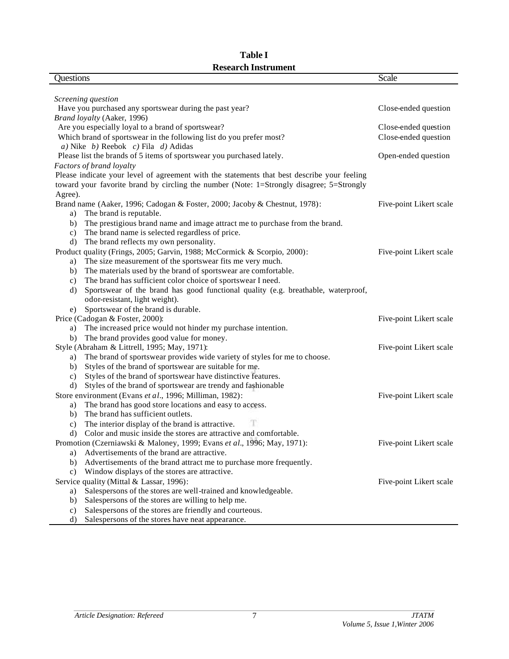| Questions                                                                                    | Scale                   |
|----------------------------------------------------------------------------------------------|-------------------------|
|                                                                                              |                         |
| Screening question                                                                           |                         |
| Have you purchased any sportswear during the past year?                                      | Close-ended question    |
| Brand loyalty (Aaker, 1996)                                                                  |                         |
| Are you especially loyal to a brand of sportswear?                                           | Close-ended question    |
| Which brand of sportswear in the following list do you prefer most?                          | Close-ended question    |
| a) Nike $b$ ) Reebok c) Fila d) Adidas                                                       |                         |
| Please list the brands of 5 items of sportswear you purchased lately.                        | Open-ended question     |
| Factors of brand loyalty                                                                     |                         |
| Please indicate your level of agreement with the statements that best describe your feeling  |                         |
| toward your favorite brand by circling the number (Note: 1=Strongly disagree; 5=Strongly     |                         |
| Agree).                                                                                      |                         |
| Brand name (Aaker, 1996; Cadogan & Foster, 2000; Jacoby & Chestnut, 1978):                   | Five-point Likert scale |
| The brand is reputable.<br>a)                                                                |                         |
| The prestigious brand name and image attract me to purchase from the brand.<br>b)            |                         |
| The brand name is selected regardless of price.<br>$\mathbf{c})$                             |                         |
| The brand reflects my own personality.<br>d)                                                 |                         |
| Product quality (Frings, 2005; Garvin, 1988; McCormick & Scorpio, 2000):                     | Five-point Likert scale |
| The size measurement of the sportswear fits me very much.<br>a)                              |                         |
| The materials used by the brand of sportswear are comfortable.<br>b)                         |                         |
| The brand has sufficient color choice of sportswear I need.<br>$\mathbf{c})$                 |                         |
| Sportswear of the brand has good functional quality (e.g. breathable, waterproof,<br>$\rm d$ |                         |
| odor-resistant, light weight).                                                               |                         |
| Sportswear of the brand is durable.<br>e)                                                    |                         |
| Price (Cadogan & Foster, 2000):                                                              | Five-point Likert scale |
| The increased price would not hinder my purchase intention.<br>a)                            |                         |
| The brand provides good value for money.<br>b)                                               |                         |
| Style (Abraham & Littrell, 1995; May, 1971):                                                 | Five-point Likert scale |
| The brand of sportswear provides wide variety of styles for me to choose.<br>a)              |                         |
| Styles of the brand of sportswear are suitable for me.<br>b)                                 |                         |
| Styles of the brand of sportswear have distinctive features.<br>$\mathbf{c})$                |                         |
| Styles of the brand of sportswear are trendy and fashionable<br>d)                           |                         |
| Store environment (Evans et al., 1996; Milliman, 1982):                                      | Five-point Likert scale |
| The brand has good store locations and easy to access.<br>a)                                 |                         |
| The brand has sufficient outlets.<br>b)                                                      |                         |
| The interior display of the brand is attractive.<br>$\mathbf{c})$                            |                         |
| Color and music inside the stores are attractive and comfortable.<br>d)                      |                         |
| Promotion (Czerniawski & Maloney, 1999; Evans et al., 1996; May, 1971):                      | Five-point Likert scale |
| Advertisements of the brand are attractive.<br>a)                                            |                         |
| Advertisements of the brand attract me to purchase more frequently.<br>b)                    |                         |
| Window displays of the stores are attractive.<br>$\mathbf{c})$                               |                         |
| Service quality (Mittal & Lassar, 1996):                                                     | Five-point Likert scale |
| Salespersons of the stores are well-trained and knowledgeable.<br>a)                         |                         |
| Salespersons of the stores are willing to help me.<br>b)                                     |                         |
| Salespersons of the stores are friendly and courteous.<br>$\mathbf{c})$                      |                         |
| Salespersons of the stores have neat appearance.<br>$\rm d$                                  |                         |

# **Table I Research Instrument**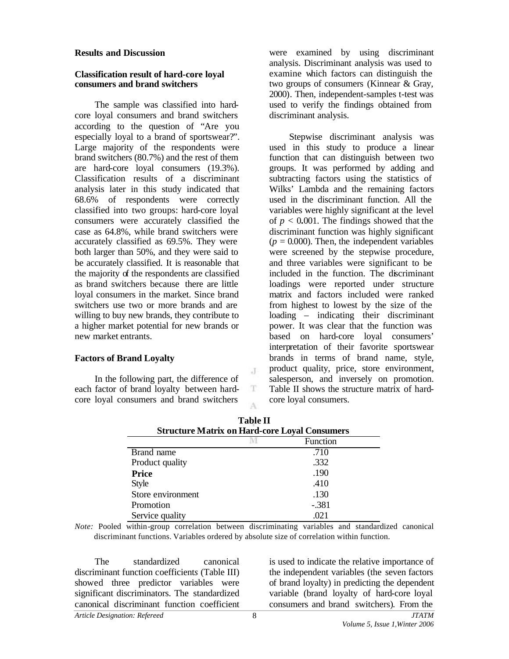#### **Results and Discussion**

#### **Classification result of hard-core loyal consumers and brand switchers**

The sample was classified into hardcore loyal consumers and brand switchers according to the question of "Are you especially loyal to a brand of sportswear?". Large majority of the respondents were brand switchers (80.7%) and the rest of them are hard-core loyal consumers (19.3%). Classification results of a discriminant analysis later in this study indicated that 68.6% of respondents were correctly classified into two groups: hard-core loyal consumers were accurately classified the case as 64.8%, while brand switchers were accurately classified as 69.5%. They were both larger than 50%, and they were said to be accurately classified. It is reasonable that the majority of the respondents are classified as brand switchers because there are little loyal consumers in the market. Since brand switchers use two or more brands and are willing to buy new brands, they contribute to a higher market potential for new brands or new market entrants.

## **Factors of Brand Loyalty**

In the following part, the difference of each factor of brand loyalty between hardcore loyal consumers and brand switchers

were examined by using discriminant analysis. Discriminant analysis was used to examine which factors can distinguish the two groups of consumers (Kinnear & Gray, 2000). Then, independent-samples t-test was used to verify the findings obtained from discriminant analysis.

Stepwise discriminant analysis was used in this study to produce a linear function that can distinguish between two groups. It was performed by adding and subtracting factors using the statistics of Wilks' Lambda and the remaining factors used in the discriminant function. All the variables were highly significant at the level of  $p < 0.001$ . The findings showed that the discriminant function was highly significant  $(p = 0.000)$ . Then, the independent variables were screened by the stepwise procedure, and three variables were significant to be included in the function. The discriminant loadings were reported under structure matrix and factors included were ranked from highest to lowest by the size of the loading – indicating their discriminant power. It was clear that the function was based on hard-core loyal consumers' interpretation of their favorite sportswear brands in terms of brand name, style, product quality, price, store environment, salesperson, and inversely on promotion. Table II shows the structure matrix of hardcore loyal consumers.

| <b>Structure Matrix on Hard-core Loyal Consumers</b> |          |  |  |
|------------------------------------------------------|----------|--|--|
|                                                      | Function |  |  |
| Brand name                                           | .710     |  |  |
| Product quality                                      | .332     |  |  |
| <b>Price</b>                                         | .190     |  |  |
| <b>Style</b>                                         | .410     |  |  |
| Store environment                                    | .130     |  |  |
| Promotion                                            | $-.381$  |  |  |
| Service quality                                      | .021     |  |  |

| <b>Table II</b>                                      |  |
|------------------------------------------------------|--|
| <b>Structure Matrix on Hard-core Loyal Consumers</b> |  |

J

T A

*Note:* Pooled within-group correlation between discriminating variables and standardized canonical discriminant functions. Variables ordered by absolute size of correlation within function.

*Article Designation: Refereed JTATM* The standardized canonical discriminant function coefficient*s* (Table III) showed three predictor variables were significant discriminators. The standardized canonical discriminant function coefficient

is used to indicate the relative importance of the independent variables (the seven factors of brand loyalty) in predicting the dependent variable (brand loyalty of hard-core loyal consumers and brand switchers). From the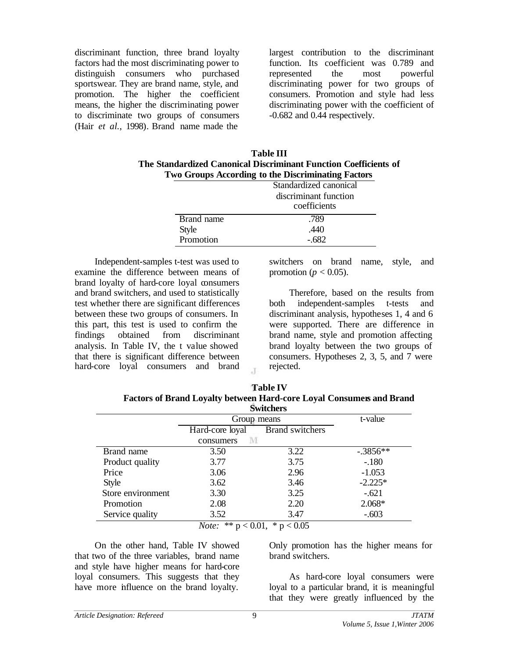discriminant function, three brand loyalty factors had the most discriminating power to distinguish consumers who purchased sportswear. They are brand name, style, and promotion. The higher the coefficient means, the higher the discriminating power to discriminate two groups of consumers (Hair *et al.*, 1998). Brand name made the

largest contribution to the discriminant function. Its coefficient was 0.789 and represented the most powerful discriminating power for two groups of consumers. Promotion and style had less discriminating power with the coefficient of -0.682 and 0.44 respectively.

| <b>Table III</b>                                                 |
|------------------------------------------------------------------|
| The Standardized Canonical Discriminant Function Coefficients of |
| Two Groups According to the Discriminating Factors               |

|              | Standardized canonical |
|--------------|------------------------|
|              | discriminant function  |
|              | coefficients           |
| Brand name   | .789                   |
| <b>Style</b> | .440                   |
| Promotion    |                        |

Independent-samples t-test was used to examine the difference between means of brand loyalty of hard-core loyal consumers and brand switchers, and used to statistically test whether there are significant differences between these two groups of consumers. In this part, this test is used to confirm the findings obtained from discriminant analysis. In Table IV, the t value showed that there is significant difference between hard-core loyal consumers and brand

switchers on brand name, style, and promotion ( $p < 0.05$ ).

Therefore, based on the results from both independent-samples t-tests and discriminant analysis, hypotheses 1, 4 and 6 were supported. There are difference in brand name, style and promotion affecting brand loyalty between the two groups of consumers. Hypotheses 2, 3, 5, and 7 were rejected.

| <b>Table IV</b>                                                             |
|-----------------------------------------------------------------------------|
| <b>Factors of Brand Loyalty between Hard-core Loyal Consumers and Brand</b> |
| <b>Switchers</b>                                                            |

|                   |                                                        | owna                         |             |  |
|-------------------|--------------------------------------------------------|------------------------------|-------------|--|
|                   | Group means                                            |                              | t-value     |  |
|                   | Hard-core loyal                                        | <b>Brand switchers</b>       |             |  |
|                   | consumers                                              |                              |             |  |
| Brand name        | 3.50                                                   | 3.22                         | $-0.3856**$ |  |
| Product quality   | 3.77                                                   | 3.75                         | $-.180$     |  |
| Price             | 3.06                                                   | 2.96                         | $-1.053$    |  |
| Style             | 3.62                                                   | 3.46                         | $-2.225*$   |  |
| Store environment | 3.30                                                   | 3.25                         | $-.621$     |  |
| Promotion         | 2.08                                                   | 2.20                         | 2.068*      |  |
| Service quality   | 3.52                                                   | 3.47                         | $-.603$     |  |
|                   | مادماد<br>$\sim$ $\Omega$ $\Omega$ 1<br>$\mathbf{r}$ . | $\sim$ $\sim$ $\sim$<br>ste. |             |  |

 $\mathbf{J}$ 

*Note:* \*\* p < 0.01, \* p < 0.05

On the other hand, Table IV showed that two of the three variables, brand name and style have higher means for hard-core loyal consumers. This suggests that they have more influence on the brand loyalty.

Only promotion has the higher means for brand switchers.

As hard-core loyal consumers were loyal to a particular brand, it is meaningful that they were greatly influenced by the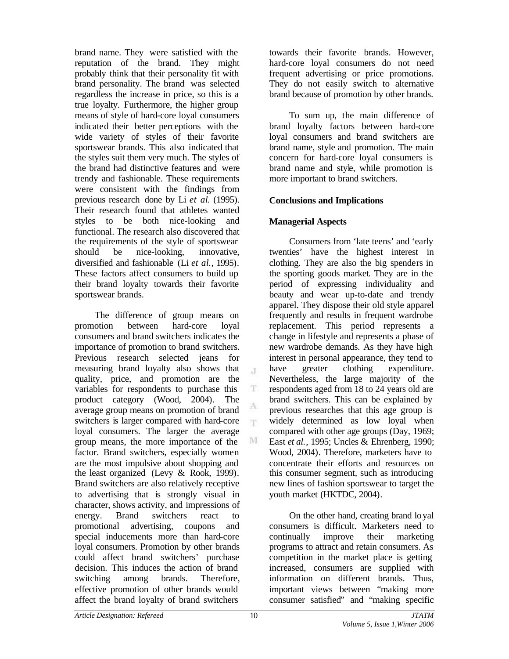brand name. They were satisfied with the reputation of the brand. They might probably think that their personality fit with brand personality. The brand was selected regardless the increase in price, so this is a true loyalty. Furthermore, the higher group means of style of hard-core loyal consumers indicated their better perceptions with the wide variety of styles of their favorite sportswear brands. This also indicated that the styles suit them very much. The styles of the brand had distinctive features and were trendy and fashionable. These requirements were consistent with the findings from previous research done by Li *et al*. (1995). Their research found that athletes wanted styles to be both nice-looking and functional. The research also discovered that the requirements of the style of sportswear should be nice-looking, innovative, diversified and fashionable (Li *et al.*, 1995). These factors affect consumers to build up their brand loyalty towards their favorite sportswear brands.

The difference of group means on promotion between hard-core loyal consumers and brand switchers indicates the importance of promotion to brand switchers. Previous research selected jeans for measuring brand loyalty also shows that quality, price, and promotion are the variables for respondents to purchase this product category (Wood, 2004). The average group means on promotion of brand switchers is larger compared with hard-core loyal consumers. The larger the average group means, the more importance of the factor. Brand switchers, especially women are the most impulsive about shopping and the least organized (Levy & Rook, 1999). Brand switchers are also relatively receptive to advertising that is strongly visual in character, shows activity, and impressions of energy. Brand switchers react to promotional advertising, coupons and special inducements more than hard-core loyal consumers. Promotion by other brands could affect brand switchers' purchase decision. This induces the action of brand switching among brands. Therefore, effective promotion of other brands would affect the brand loyalty of brand switchers

towards their favorite brands. However, hard-core loyal consumers do not need frequent advertising or price promotions. They do not easily switch to alternative brand because of promotion by other brands.

To sum up, the main difference of brand loyalty factors between hard-core loyal consumers and brand switchers are brand name, style and promotion. The main concern for hard-core loyal consumers is brand name and style, while promotion is more important to brand switchers.

## **Conclusions and Implications**

## **Managerial Aspects**

Consumers from 'late teens' and 'early twenties' have the highest interest in clothing. They are also the big spenders in the sporting goods market. They are in the period of expressing individuality and beauty and wear up-to-date and trendy apparel. They dispose their old style apparel frequently and results in frequent wardrobe replacement. This period represents a change in lifestyle and represents a phase of new wardrobe demands. As they have high interest in personal appearance, they tend to have greater clothing expenditure. Nevertheless, the large majority of the respondents aged from 18 to 24 years old are brand switchers. This can be explained by previous researches that this age group is widely determined as low loyal when compared with other age groups (Day, 1969; East *et al.*, 1995; Uncles & Ehrenberg, 1990; Wood, 2004). Therefore, marketers have to concentrate their efforts and resources on this consumer segment, such as introducing new lines of fashion sportswear to target the youth market (HKTDC, 2004).

On the other hand, creating brand loyal consumers is difficult. Marketers need to continually improve their marketing programs to attract and retain consumers. As competition in the market place is getting increased, consumers are supplied with information on different brands. Thus, important views between "making more consumer satisfied" and "making specific

 $\mathcal{X}$ 

T

A 'n.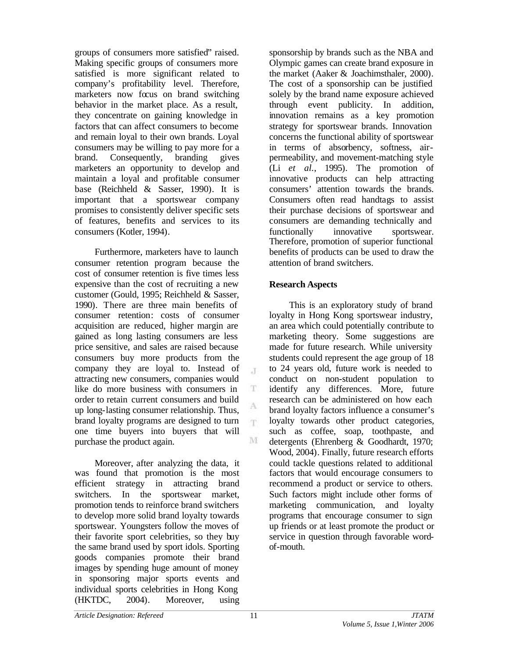groups of consumers more satisfied" raised. Making specific groups of consumers more satisfied is more significant related to company's profitability level. Therefore, marketers now focus on brand switching behavior in the market place. As a result, they concentrate on gaining knowledge in factors that can affect consumers to become and remain loyal to their own brands. Loyal consumers may be willing to pay more for a brand. Consequently, branding gives marketers an opportunity to develop and maintain a loyal and profitable consumer base (Reichheld & Sasser, 1990). It is important that a sportswear company promises to consistently deliver specific sets of features, benefits and services to its consumers (Kotler, 1994).

Furthermore, marketers have to launch consumer retention program because the cost of consumer retention is five times less expensive than the cost of recruiting a new customer (Gould, 1995; Reichheld & Sasser, 1990). There are three main benefits of consumer retention: costs of consumer acquisition are reduced, higher margin are gained as long lasting consumers are less price sensitive, and sales are raised because consumers buy more products from the company they are loyal to. Instead of attracting new consumers, companies would like do more business with consumers in order to retain current consumers and build up long-lasting consumer relationship. Thus, brand loyalty programs are designed to turn one time buyers into buyers that will purchase the product again.

Moreover, after analyzing the data, it was found that promotion is the most efficient strategy in attracting brand switchers. In the sportswear market, promotion tends to reinforce brand switchers to develop more solid brand loyalty towards sportswear. Youngsters follow the moves of their favorite sport celebrities, so they buy the same brand used by sport idols. Sporting goods companies promote their brand images by spending huge amount of money in sponsoring major sports events and individual sports celebrities in Hong Kong (HKTDC, 2004). Moreover, using

sponsorship by brands such as the NBA and Olympic games can create brand exposure in the market (Aaker & Joachimsthaler, 2000). The cost of a sponsorship can be justified solely by the brand name exposure achieved through event publicity. In addition, innovation remains as a key promotion strategy for sportswear brands. Innovation concerns the functional ability of sportswear in terms of absorbency, softness, airpermeability, and movement-matching style (Li *et al.*, 1995). The promotion of innovative products can help attracting consumers' attention towards the brands. Consumers often read handtags to assist their purchase decisions of sportswear and consumers are demanding technically and functionally innovative sportswear. Therefore, promotion of superior functional benefits of products can be used to draw the attention of brand switchers.

## **Research Aspects**

This is an exploratory study of brand loyalty in Hong Kong sportswear industry, an area which could potentially contribute to marketing theory. Some suggestions are made for future research. While university students could represent the age group of 18 to 24 years old, future work is needed to conduct on non-student population to identify any differences. More, future research can be administered on how each brand loyalty factors influence a consumer's loyalty towards other product categories, such as coffee, soap, toothpaste, and detergents (Ehrenberg & Goodhardt, 1970; Wood, 2004). Finally, future research efforts could tackle questions related to additional factors that would encourage consumers to recommend a product or service to others. Such factors might include other forms of marketing communication, and loyalty programs that encourage consumer to sign up friends or at least promote the product or service in question through favorable wordof-mouth.

 $\mathcal{X}$ 

T

A 'n.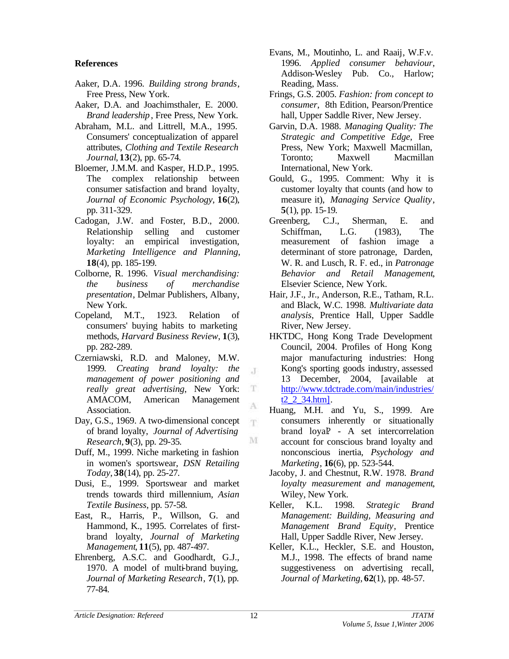## **References**

- Aaker, D.A. 1996. *Building strong brands*, Free Press, New York.
- Aaker, D.A. and Joachimsthaler, E. 2000. *Brand leadership*, Free Press, New York.
- Abraham, M.L. and Littrell, M.A., 1995. Consumers' conceptualization of apparel attributes, *Clothing and Textile Research Journal*, **13**(2), pp. 65-74.
- Bloemer, J.M.M. and Kasper, H.D.P., 1995. The complex relationship between consumer satisfaction and brand loyalty, *Journal of Economic Psychology*, **16**(2), pp. 311-329.
- Cadogan, J.W. and Foster, B.D., 2000. Relationship selling and customer loyalty: an empirical investigation, *Marketing Intelligence and Planning*, **18**(4), pp. 185-199.
- Colborne, R. 1996. *Visual merchandising: the business of merchandise presentation*, Delmar Publishers, Albany, New York.
- Copeland, M.T., 1923. Relation of consumers' buying habits to marketing methods, *Harvard Business Review*, **1**(3), pp. 282-289.
- Czerniawski, R.D. and Maloney, M.W. 1999. *Creating brand loyalty: the management of power positioning and really great advertising*, New York: AMACOM, American Management Association.
- Day, G.S., 1969. A two-dimensional concept of brand loyalty, *Journal of Advertising Research*, **9**(3), pp. 29-35.
- Duff, M., 1999. Niche marketing in fashion in women's sportswear, *DSN Retailing Today*, **38**(14), pp. 25-27.
- Dusi, E., 1999. Sportswear and market trends towards third millennium, *Asian Textile Business*, pp. 57-58.
- East, R., Harris, P., Willson, G. and Hammond, K., 1995. Correlates of firstbrand loyalty, *Journal of Marketing Management*, **11**(5), pp. 487-497.
- Ehrenberg, A.S.C. and Goodhardt, G.J., 1970. A model of multi-brand buying, *Journal of Marketing Research*, **7**(1), pp. 77-84.
- Evans, M., Moutinho, L. and Raaij, W.F.v. 1996. *Applied consumer behaviour*, Addison-Wesley Pub. Co., Harlow; Reading, Mass.
- Frings, G.S. 2005. *Fashion: from concept to consumer*, 8th Edition, Pearson/Prentice hall, Upper Saddle River, New Jersey.
- Garvin, D.A. 1988. *Managing Quality: The Strategic and Competitive Edge*, Free Press, New York; Maxwell Macmillan, Toronto; Maxwell Macmillan International, New York.
- Gould, G., 1995. Comment: Why it is customer loyalty that counts (and how to measure it), *Managing Service Quality*, **5**(1), pp. 15-19.
- Greenberg, C.J., Sherman, E. and Schiffman, L.G. (1983), The measurement of fashion image a determinant of store patronage, Darden, W. R. and Lusch, R. F. ed., in *Patronage Behavior and Retail Management*, Elsevier Science, New York.
- Hair, J.F., Jr., Anderson, R.E., Tatham, R.L. and Black, W.C. 1998. *Multivariate data analysis*, Prentice Hall, Upper Saddle River, New Jersey.
- HKTDC, Hong Kong Trade Development Council, 2004. Profiles of Hong Kong major manufacturing industries: Hong Kong's sporting goods industry, assessed 13 December, 2004, [available at http://www.tdctrade.com/main/industries/  $t2\overline{2}$  34.htm].
- Huang, M.H. and Yu, S., 1999. Are consumers inherently or situationally brand loyal? - A set intercorrelation account for conscious brand loyalty and nonconscious inertia, *Psychology and Marketing*, **16**(6), pp. 523-544.
- Jacoby, J. and Chestnut, R.W. 1978. *Brand loyalty measurement and management*, Wiley, New York.
- Keller, K.L. 1998. *Strategic Brand Management: Building, Measuring and Management Brand Equity*, Prentice Hall, Upper Saddle River, New Jersey.
- Keller, K.L., Heckler, S.E. and Houston, M.J., 1998. The effects of brand name suggestiveness on advertising recall, *Journal of Marketing*, **62**(1), pp. 48-57.

J

 $\mathbf T$ 

A T.